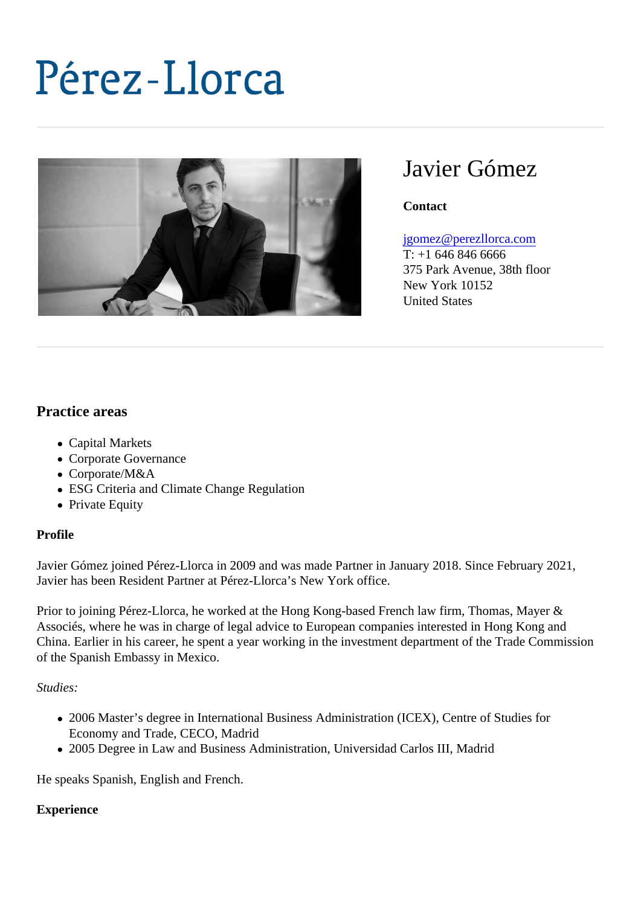# Javier Gómez

**Contact** 

#### [jgomez@perezllorca.co](mailto:jgomez@perezllorca.com)m

T: +1 646 846 6666 375 Park Avenue, 38th floor New York 10152 United States

## Practice areas

- Capital Markets
- Corporate Governance
- Corporate/M&A
- ESG Criteria and Climate Change Regulation
- Private Equity

#### Profile

Javier Gómez joined Pérez-Llorca in 2009 and was made Partner in January 2018. Since February 2021, Javier has been Resident Partner at Pérez-Llorca's New York office.

Prior to joining Pérez-Llorca, he worked at the Hong Kong-based French law firm, Thomas, Mayer & Associés, where he was in charge of legal advice to European companies interested in Hong Kong and China. Earlier in his career, he spent a year working in the investment department of the Trade Commission of the Spanish Embassy in Mexico.

Studies:

- 2006 Master's degree in International Business Administration (ICEX), Centre of Studies for Economy and Trade, CECO, Madrid
- 2005 Degree in Law and Business Administration, Universidad Carlos III, Madrid

He speaks Spanish, English and French.

#### **Experience**